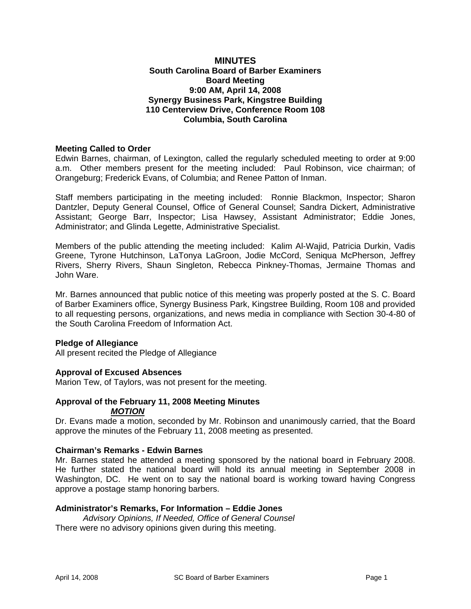# **MINUTES South Carolina Board of Barber Examiners Board Meeting 9:00 AM, April 14, 2008 Synergy Business Park, Kingstree Building 110 Centerview Drive, Conference Room 108 Columbia, South Carolina**

# **Meeting Called to Order**

Edwin Barnes, chairman, of Lexington, called the regularly scheduled meeting to order at 9:00 a.m. Other members present for the meeting included: Paul Robinson, vice chairman; of Orangeburg; Frederick Evans, of Columbia; and Renee Patton of Inman.

Staff members participating in the meeting included: Ronnie Blackmon, Inspector; Sharon Dantzler, Deputy General Counsel, Office of General Counsel; Sandra Dickert, Administrative Assistant; George Barr, Inspector; Lisa Hawsey, Assistant Administrator; Eddie Jones, Administrator; and Glinda Legette, Administrative Specialist.

Members of the public attending the meeting included: Kalim Al-Wajid, Patricia Durkin, Vadis Greene, Tyrone Hutchinson, LaTonya LaGroon, Jodie McCord, Seniqua McPherson, Jeffrey Rivers, Sherry Rivers, Shaun Singleton, Rebecca Pinkney-Thomas, Jermaine Thomas and John Ware.

Mr. Barnes announced that public notice of this meeting was properly posted at the S. C. Board of Barber Examiners office, Synergy Business Park, Kingstree Building, Room 108 and provided to all requesting persons, organizations, and news media in compliance with Section 30-4-80 of the South Carolina Freedom of Information Act.

#### **Pledge of Allegiance**

All present recited the Pledge of Allegiance

# **Approval of Excused Absences**

Marion Tew, of Taylors, was not present for the meeting.

#### **Approval of the February 11, 2008 Meeting Minutes**  *MOTION*

Dr. Evans made a motion, seconded by Mr. Robinson and unanimously carried, that the Board approve the minutes of the February 11, 2008 meeting as presented.

#### **Chairman's Remarks - Edwin Barnes**

Mr. Barnes stated he attended a meeting sponsored by the national board in February 2008. He further stated the national board will hold its annual meeting in September 2008 in Washington, DC. He went on to say the national board is working toward having Congress approve a postage stamp honoring barbers.

#### **Administrator's Remarks, For Information – Eddie Jones**

*Advisory Opinions, If Needed, Office of General Counsel* There were no advisory opinions given during this meeting.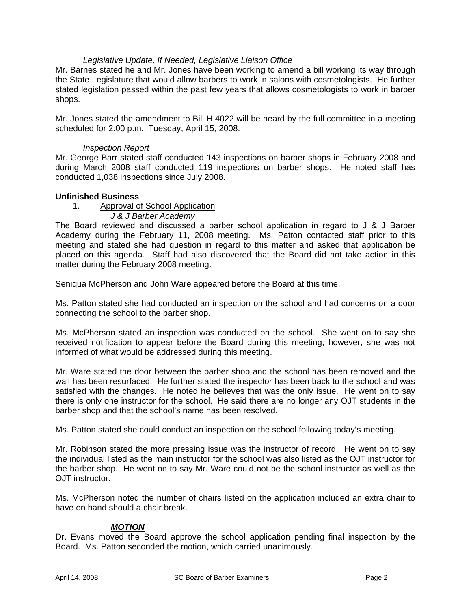# *Legislative Update, If Needed, Legislative Liaison Office*

Mr. Barnes stated he and Mr. Jones have been working to amend a bill working its way through the State Legislature that would allow barbers to work in salons with cosmetologists. He further stated legislation passed within the past few years that allows cosmetologists to work in barber shops.

Mr. Jones stated the amendment to Bill H.4022 will be heard by the full committee in a meeting scheduled for 2:00 p.m., Tuesday, April 15, 2008.

### *Inspection Report*

Mr. George Barr stated staff conducted 143 inspections on barber shops in February 2008 and during March 2008 staff conducted 119 inspections on barber shops. He noted staff has conducted 1,038 inspections since July 2008.

# **Unfinished Business**

1. Approval of School Application

# *J & J Barber Academy*

The Board reviewed and discussed a barber school application in regard to J & J Barber Academy during the February 11, 2008 meeting. Ms. Patton contacted staff prior to this meeting and stated she had question in regard to this matter and asked that application be placed on this agenda. Staff had also discovered that the Board did not take action in this matter during the February 2008 meeting.

Seniqua McPherson and John Ware appeared before the Board at this time.

Ms. Patton stated she had conducted an inspection on the school and had concerns on a door connecting the school to the barber shop.

Ms. McPherson stated an inspection was conducted on the school. She went on to say she received notification to appear before the Board during this meeting; however, she was not informed of what would be addressed during this meeting.

Mr. Ware stated the door between the barber shop and the school has been removed and the wall has been resurfaced. He further stated the inspector has been back to the school and was satisfied with the changes. He noted he believes that was the only issue. He went on to say there is only one instructor for the school. He said there are no longer any OJT students in the barber shop and that the school's name has been resolved.

Ms. Patton stated she could conduct an inspection on the school following today's meeting.

Mr. Robinson stated the more pressing issue was the instructor of record. He went on to say the individual listed as the main instructor for the school was also listed as the OJT instructor for the barber shop. He went on to say Mr. Ware could not be the school instructor as well as the OJT instructor.

Ms. McPherson noted the number of chairs listed on the application included an extra chair to have on hand should a chair break.

# *MOTION*

Dr. Evans moved the Board approve the school application pending final inspection by the Board. Ms. Patton seconded the motion, which carried unanimously.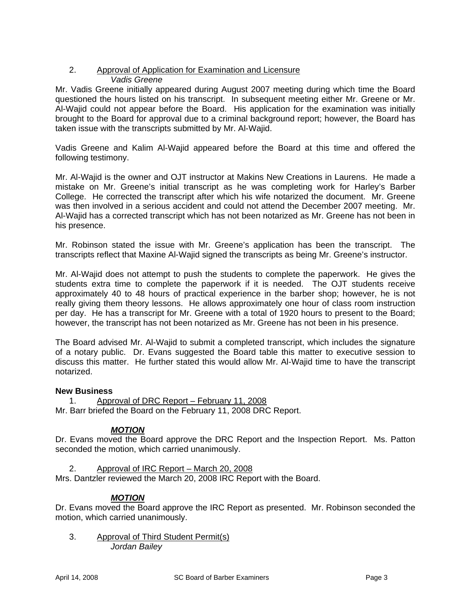# 2. Approval of Application for Examination and Licensure *Vadis Greene*

Mr. Vadis Greene initially appeared during August 2007 meeting during which time the Board questioned the hours listed on his transcript. In subsequent meeting either Mr. Greene or Mr. Al-Wajid could not appear before the Board. His application for the examination was initially brought to the Board for approval due to a criminal background report; however, the Board has taken issue with the transcripts submitted by Mr. Al-Wajid.

Vadis Greene and Kalim Al-Wajid appeared before the Board at this time and offered the following testimony.

Mr. Al-Wajid is the owner and OJT instructor at Makins New Creations in Laurens. He made a mistake on Mr. Greene's initial transcript as he was completing work for Harley's Barber College. He corrected the transcript after which his wife notarized the document. Mr. Greene was then involved in a serious accident and could not attend the December 2007 meeting. Mr. Al-Wajid has a corrected transcript which has not been notarized as Mr. Greene has not been in his presence.

Mr. Robinson stated the issue with Mr. Greene's application has been the transcript. The transcripts reflect that Maxine Al-Wajid signed the transcripts as being Mr. Greene's instructor.

Mr. Al-Wajid does not attempt to push the students to complete the paperwork. He gives the students extra time to complete the paperwork if it is needed. The OJT students receive approximately 40 to 48 hours of practical experience in the barber shop; however, he is not really giving them theory lessons. He allows approximately one hour of class room instruction per day. He has a transcript for Mr. Greene with a total of 1920 hours to present to the Board; however, the transcript has not been notarized as Mr. Greene has not been in his presence.

The Board advised Mr. Al-Wajid to submit a completed transcript, which includes the signature of a notary public. Dr. Evans suggested the Board table this matter to executive session to discuss this matter. He further stated this would allow Mr. Al-Wajid time to have the transcript notarized.

# **New Business**

1. Approval of DRC Report – February 11, 2008 Mr. Barr briefed the Board on the February 11, 2008 DRC Report.

# *MOTION*

Dr. Evans moved the Board approve the DRC Report and the Inspection Report. Ms. Patton seconded the motion, which carried unanimously.

# 2. Approval of IRC Report – March 20, 2008

Mrs. Dantzler reviewed the March 20, 2008 IRC Report with the Board.

# *MOTION*

Dr. Evans moved the Board approve the IRC Report as presented. Mr. Robinson seconded the motion, which carried unanimously.

3. Approval of Third Student Permit(s) *Jordan Bailey*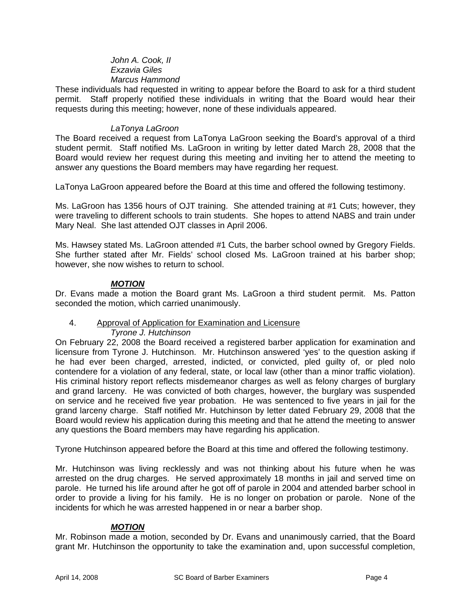# *John A. Cook, II Exzavia Giles Marcus Hammond*

These individuals had requested in writing to appear before the Board to ask for a third student permit. Staff properly notified these individuals in writing that the Board would hear their requests during this meeting; however, none of these individuals appeared.

# *LaTonya LaGroon*

The Board received a request from LaTonya LaGroon seeking the Board's approval of a third student permit. Staff notified Ms. LaGroon in writing by letter dated March 28, 2008 that the Board would review her request during this meeting and inviting her to attend the meeting to answer any questions the Board members may have regarding her request.

LaTonya LaGroon appeared before the Board at this time and offered the following testimony.

Ms. LaGroon has 1356 hours of OJT training. She attended training at #1 Cuts; however, they were traveling to different schools to train students. She hopes to attend NABS and train under Mary Neal. She last attended OJT classes in April 2006.

Ms. Hawsey stated Ms. LaGroon attended #1 Cuts, the barber school owned by Gregory Fields. She further stated after Mr. Fields' school closed Ms. LaGroon trained at his barber shop; however, she now wishes to return to school.

# *MOTION*

Dr. Evans made a motion the Board grant Ms. LaGroon a third student permit. Ms. Patton seconded the motion, which carried unanimously.

#### 4. Approval of Application for Examination and Licensure *Tyrone J. Hutchinson*

On February 22, 2008 the Board received a registered barber application for examination and licensure from Tyrone J. Hutchinson. Mr. Hutchinson answered 'yes' to the question asking if he had ever been charged, arrested, indicted, or convicted, pled guilty of, or pled nolo contendere for a violation of any federal, state, or local law (other than a minor traffic violation). His criminal history report reflects misdemeanor charges as well as felony charges of burglary and grand larceny. He was convicted of both charges, however, the burglary was suspended on service and he received five year probation. He was sentenced to five years in jail for the grand larceny charge. Staff notified Mr. Hutchinson by letter dated February 29, 2008 that the Board would review his application during this meeting and that he attend the meeting to answer any questions the Board members may have regarding his application.

Tyrone Hutchinson appeared before the Board at this time and offered the following testimony.

Mr. Hutchinson was living recklessly and was not thinking about his future when he was arrested on the drug charges. He served approximately 18 months in jail and served time on parole. He turned his life around after he got off of parole in 2004 and attended barber school in order to provide a living for his family. He is no longer on probation or parole. None of the incidents for which he was arrested happened in or near a barber shop.

# *MOTION*

Mr. Robinson made a motion, seconded by Dr. Evans and unanimously carried, that the Board grant Mr. Hutchinson the opportunity to take the examination and, upon successful completion,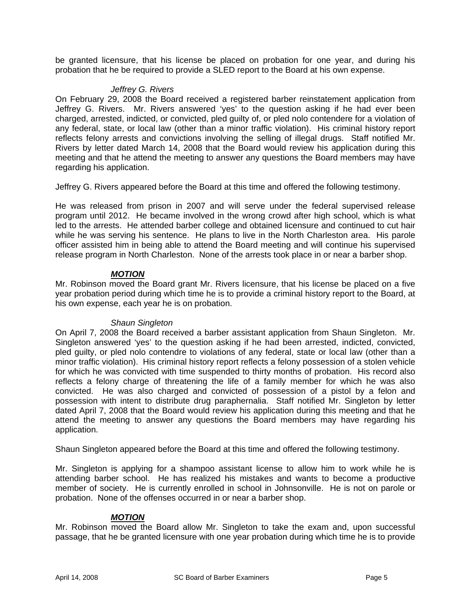be granted licensure, that his license be placed on probation for one year, and during his probation that he be required to provide a SLED report to the Board at his own expense.

# *Jeffrey G. Rivers*

On February 29, 2008 the Board received a registered barber reinstatement application from Jeffrey G. Rivers. Mr. Rivers answered 'yes' to the question asking if he had ever been charged, arrested, indicted, or convicted, pled guilty of, or pled nolo contendere for a violation of any federal, state, or local law (other than a minor traffic violation). His criminal history report reflects felony arrests and convictions involving the selling of illegal drugs. Staff notified Mr. Rivers by letter dated March 14, 2008 that the Board would review his application during this meeting and that he attend the meeting to answer any questions the Board members may have regarding his application.

Jeffrey G. Rivers appeared before the Board at this time and offered the following testimony.

He was released from prison in 2007 and will serve under the federal supervised release program until 2012. He became involved in the wrong crowd after high school, which is what led to the arrests. He attended barber college and obtained licensure and continued to cut hair while he was serving his sentence. He plans to live in the North Charleston area. His parole officer assisted him in being able to attend the Board meeting and will continue his supervised release program in North Charleston. None of the arrests took place in or near a barber shop.

# *MOTION*

Mr. Robinson moved the Board grant Mr. Rivers licensure, that his license be placed on a five year probation period during which time he is to provide a criminal history report to the Board, at his own expense, each year he is on probation.

# *Shaun Singleton*

On April 7, 2008 the Board received a barber assistant application from Shaun Singleton. Mr. Singleton answered 'yes' to the question asking if he had been arrested, indicted, convicted, pled guilty, or pled nolo contendre to violations of any federal, state or local law (other than a minor traffic violation). His criminal history report reflects a felony possession of a stolen vehicle for which he was convicted with time suspended to thirty months of probation. His record also reflects a felony charge of threatening the life of a family member for which he was also convicted. He was also charged and convicted of possession of a pistol by a felon and possession with intent to distribute drug paraphernalia. Staff notified Mr. Singleton by letter dated April 7, 2008 that the Board would review his application during this meeting and that he attend the meeting to answer any questions the Board members may have regarding his application.

Shaun Singleton appeared before the Board at this time and offered the following testimony.

Mr. Singleton is applying for a shampoo assistant license to allow him to work while he is attending barber school. He has realized his mistakes and wants to become a productive member of society. He is currently enrolled in school in Johnsonville. He is not on parole or probation. None of the offenses occurred in or near a barber shop.

# *MOTION*

Mr. Robinson moved the Board allow Mr. Singleton to take the exam and, upon successful passage, that he be granted licensure with one year probation during which time he is to provide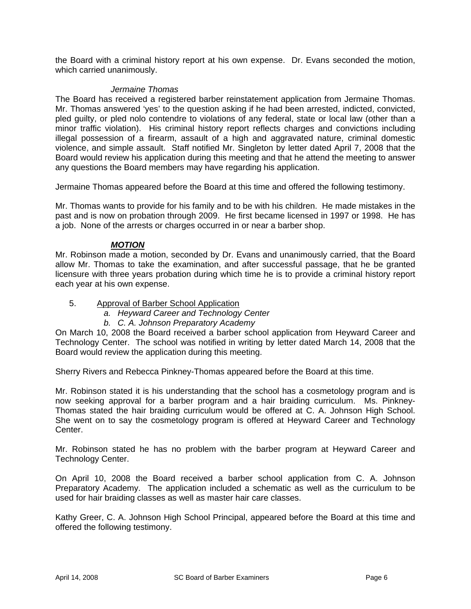the Board with a criminal history report at his own expense. Dr. Evans seconded the motion, which carried unanimously.

# *Jermaine Thomas*

The Board has received a registered barber reinstatement application from Jermaine Thomas. Mr. Thomas answered 'yes' to the question asking if he had been arrested, indicted, convicted, pled guilty, or pled nolo contendre to violations of any federal, state or local law (other than a minor traffic violation). His criminal history report reflects charges and convictions including illegal possession of a firearm, assault of a high and aggravated nature, criminal domestic violence, and simple assault. Staff notified Mr. Singleton by letter dated April 7, 2008 that the Board would review his application during this meeting and that he attend the meeting to answer any questions the Board members may have regarding his application.

Jermaine Thomas appeared before the Board at this time and offered the following testimony.

Mr. Thomas wants to provide for his family and to be with his children. He made mistakes in the past and is now on probation through 2009. He first became licensed in 1997 or 1998. He has a job. None of the arrests or charges occurred in or near a barber shop.

# *MOTION*

Mr. Robinson made a motion, seconded by Dr. Evans and unanimously carried, that the Board allow Mr. Thomas to take the examination, and after successful passage, that he be granted licensure with three years probation during which time he is to provide a criminal history report each year at his own expense.

- 5. Approval of Barber School Application
	- *a. Heyward Career and Technology Center*
	- *b. C. A. Johnson Preparatory Academy*

On March 10, 2008 the Board received a barber school application from Heyward Career and Technology Center. The school was notified in writing by letter dated March 14, 2008 that the Board would review the application during this meeting.

Sherry Rivers and Rebecca Pinkney-Thomas appeared before the Board at this time.

Mr. Robinson stated it is his understanding that the school has a cosmetology program and is now seeking approval for a barber program and a hair braiding curriculum. Ms. Pinkney-Thomas stated the hair braiding curriculum would be offered at C. A. Johnson High School. She went on to say the cosmetology program is offered at Heyward Career and Technology Center.

Mr. Robinson stated he has no problem with the barber program at Heyward Career and Technology Center.

On April 10, 2008 the Board received a barber school application from C. A. Johnson Preparatory Academy. The application included a schematic as well as the curriculum to be used for hair braiding classes as well as master hair care classes.

Kathy Greer, C. A. Johnson High School Principal, appeared before the Board at this time and offered the following testimony.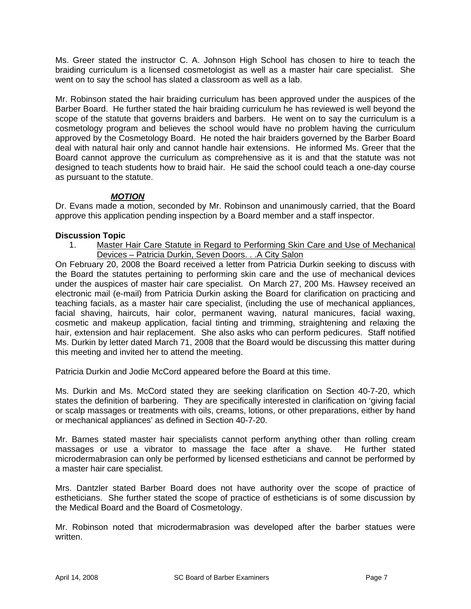Ms. Greer stated the instructor C. A. Johnson High School has chosen to hire to teach the braiding curriculum is a licensed cosmetologist as well as a master hair care specialist. She went on to say the school has slated a classroom as well as a lab.

Mr. Robinson stated the hair braiding curriculum has been approved under the auspices of the Barber Board. He further stated the hair braiding curriculum he has reviewed is well beyond the scope of the statute that governs braiders and barbers. He went on to say the curriculum is a cosmetology program and believes the school would have no problem having the curriculum approved by the Cosmetology Board. He noted the hair braiders governed by the Barber Board deal with natural hair only and cannot handle hair extensions. He informed Ms. Greer that the Board cannot approve the curriculum as comprehensive as it is and that the statute was not designed to teach students how to braid hair. He said the school could teach a one-day course as pursuant to the statute.

# *MOTION*

Dr. Evans made a motion, seconded by Mr. Robinson and unanimously carried, that the Board approve this application pending inspection by a Board member and a staff inspector.

# **Discussion Topic**

1. Master Hair Care Statute in Regard to Performing Skin Care and Use of Mechanical Devices – Patricia Durkin, Seven Doors. . .A City Salon

On February 20, 2008 the Board received a letter from Patricia Durkin seeking to discuss with the Board the statutes pertaining to performing skin care and the use of mechanical devices under the auspices of master hair care specialist. On March 27, 200 Ms. Hawsey received an electronic mail (e-mail) from Patricia Durkin asking the Board for clarification on practicing and teaching facials, as a master hair care specialist, (including the use of mechanical appliances, facial shaving, haircuts, hair color, permanent waving, natural manicures, facial waxing, cosmetic and makeup application, facial tinting and trimming, straightening and relaxing the hair, extension and hair replacement. She also asks who can perform pedicures. Staff notified Ms. Durkin by letter dated March 71, 2008 that the Board would be discussing this matter during this meeting and invited her to attend the meeting.

Patricia Durkin and Jodie McCord appeared before the Board at this time.

Ms. Durkin and Ms. McCord stated they are seeking clarification on Section 40-7-20, which states the definition of barbering. They are specifically interested in clarification on 'giving facial or scalp massages or treatments with oils, creams, lotions, or other preparations, either by hand or mechanical appliances' as defined in Section 40-7-20.

Mr. Barnes stated master hair specialists cannot perform anything other than rolling cream massages or use a vibrator to massage the face after a shave. He further stated microdermabrasion can only be performed by licensed estheticians and cannot be performed by a master hair care specialist.

Mrs. Dantzler stated Barber Board does not have authority over the scope of practice of estheticians. She further stated the scope of practice of estheticians is of some discussion by the Medical Board and the Board of Cosmetology.

Mr. Robinson noted that microdermabrasion was developed after the barber statues were written.